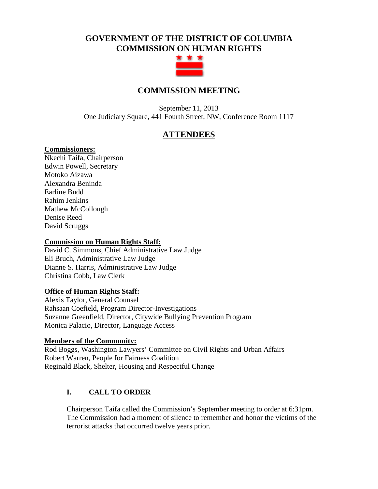# **GOVERNMENT OF THE DISTRICT OF COLUMBIA COMMISSION ON HUMAN RIGHTS**



# **COMMISSION MEETING**

September 11, 2013 One Judiciary Square, 441 Fourth Street, NW, Conference Room 1117

# **ATTENDEES**

#### **Commissioners:**

Nkechi Taifa, Chairperson Edwin Powell, Secretary Motoko Aizawa Alexandra Beninda Earline Budd Rahim Jenkins Mathew McCollough Denise Reed David Scruggs

#### **Commission on Human Rights Staff:**

David C. Simmons, Chief Administrative Law Judge Eli Bruch, Administrative Law Judge Dianne S. Harris, Administrative Law Judge Christina Cobb, Law Clerk

#### **Office of Human Rights Staff:**

Alexis Taylor, General Counsel Rahsaan Coefield, Program Director-Investigations Suzanne Greenfield, Director, Citywide Bullying Prevention Program Monica Palacio, Director, Language Access

#### **Members of the Community:**

Rod Boggs, Washington Lawyers' Committee on Civil Rights and Urban Affairs Robert Warren, People for Fairness Coalition Reginald Black, Shelter, Housing and Respectful Change

# **I. CALL TO ORDER**

Chairperson Taifa called the Commission's September meeting to order at 6:31pm. The Commission had a moment of silence to remember and honor the victims of the terrorist attacks that occurred twelve years prior.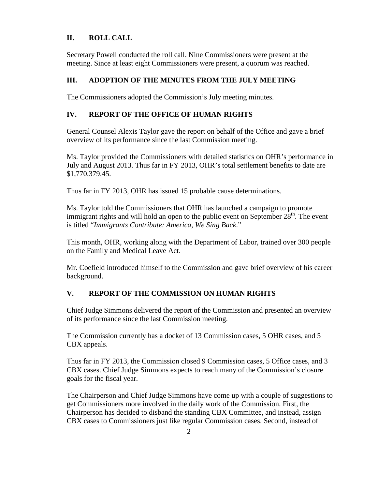## **II. ROLL CALL**

Secretary Powell conducted the roll call. Nine Commissioners were present at the meeting. Since at least eight Commissioners were present, a quorum was reached.

#### **III. ADOPTION OF THE MINUTES FROM THE JULY MEETING**

The Commissioners adopted the Commission's July meeting minutes.

#### **IV. REPORT OF THE OFFICE OF HUMAN RIGHTS**

General Counsel Alexis Taylor gave the report on behalf of the Office and gave a brief overview of its performance since the last Commission meeting.

Ms. Taylor provided the Commissioners with detailed statistics on OHR's performance in July and August 2013. Thus far in FY 2013, OHR's total settlement benefits to date are \$1,770,379.45.

Thus far in FY 2013, OHR has issued 15 probable cause determinations.

Ms. Taylor told the Commissioners that OHR has launched a campaign to promote immigrant rights and will hold an open to the public event on September  $28<sup>th</sup>$ . The event is titled "*Immigrants Contribute: America, We Sing Back*."

This month, OHR, working along with the Department of Labor, trained over 300 people on the Family and Medical Leave Act.

Mr. Coefield introduced himself to the Commission and gave brief overview of his career background.

## **V. REPORT OF THE COMMISSION ON HUMAN RIGHTS**

Chief Judge Simmons delivered the report of the Commission and presented an overview of its performance since the last Commission meeting.

The Commission currently has a docket of 13 Commission cases, 5 OHR cases, and 5 CBX appeals.

Thus far in FY 2013, the Commission closed 9 Commission cases, 5 Office cases, and 3 CBX cases. Chief Judge Simmons expects to reach many of the Commission's closure goals for the fiscal year.

The Chairperson and Chief Judge Simmons have come up with a couple of suggestions to get Commissioners more involved in the daily work of the Commission. First, the Chairperson has decided to disband the standing CBX Committee, and instead, assign CBX cases to Commissioners just like regular Commission cases. Second, instead of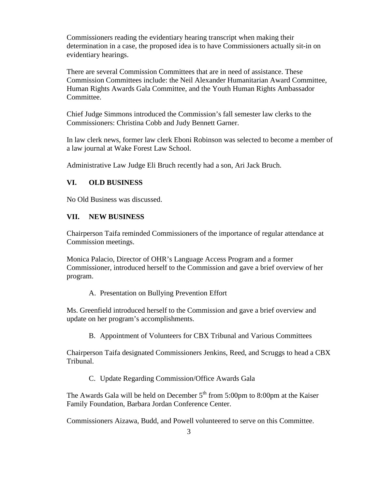Commissioners reading the evidentiary hearing transcript when making their determination in a case, the proposed idea is to have Commissioners actually sit-in on evidentiary hearings.

There are several Commission Committees that are in need of assistance. These Commission Committees include: the Neil Alexander Humanitarian Award Committee, Human Rights Awards Gala Committee, and the Youth Human Rights Ambassador Committee.

Chief Judge Simmons introduced the Commission's fall semester law clerks to the Commissioners: Christina Cobb and Judy Bennett Garner.

In law clerk news, former law clerk Eboni Robinson was selected to become a member of a law journal at Wake Forest Law School.

Administrative Law Judge Eli Bruch recently had a son, Ari Jack Bruch.

#### **VI. OLD BUSINESS**

No Old Business was discussed.

#### **VII. NEW BUSINESS**

Chairperson Taifa reminded Commissioners of the importance of regular attendance at Commission meetings.

Monica Palacio, Director of OHR's Language Access Program and a former Commissioner, introduced herself to the Commission and gave a brief overview of her program.

A. Presentation on Bullying Prevention Effort

Ms. Greenfield introduced herself to the Commission and gave a brief overview and update on her program's accomplishments.

B. Appointment of Volunteers for CBX Tribunal and Various Committees

Chairperson Taifa designated Commissioners Jenkins, Reed, and Scruggs to head a CBX Tribunal.

C. Update Regarding Commission/Office Awards Gala

The Awards Gala will be held on December  $5<sup>th</sup>$  from 5:00pm to 8:00pm at the Kaiser Family Foundation, Barbara Jordan Conference Center.

Commissioners Aizawa, Budd, and Powell volunteered to serve on this Committee.